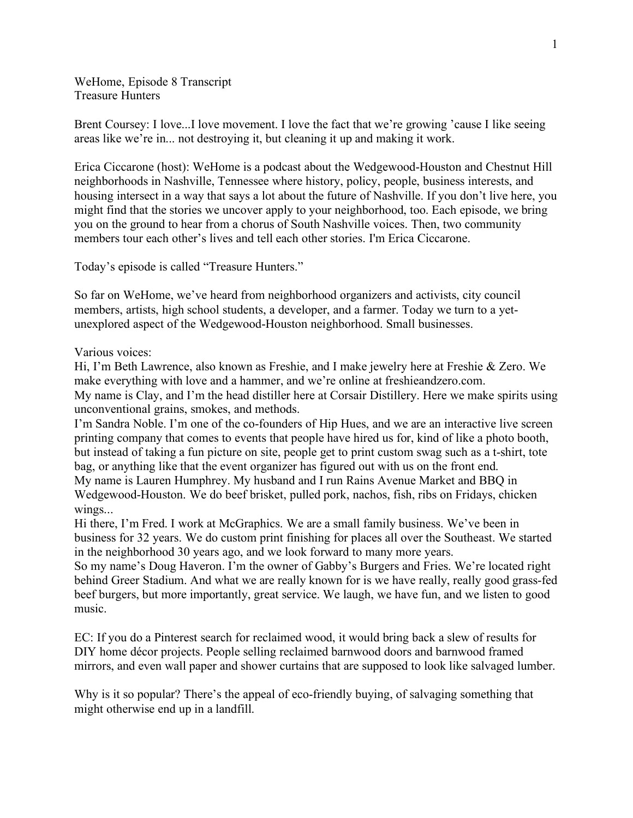WeHome, Episode 8 Transcript Treasure Hunters

Brent Coursey: I love...I love movement. I love the fact that we're growing 'cause I like seeing areas like we're in... not destroying it, but cleaning it up and making it work.

Erica Ciccarone (host): WeHome is a podcast about the Wedgewood-Houston and Chestnut Hill neighborhoods in Nashville, Tennessee where history, policy, people, business interests, and housing intersect in a way that says a lot about the future of Nashville. If you don't live here, you might find that the stories we uncover apply to your neighborhood, too. Each episode, we bring you on the ground to hear from a chorus of South Nashville voices. Then, two community members tour each other's lives and tell each other stories. I'm Erica Ciccarone.

Today's episode is called "Treasure Hunters."

So far on WeHome, we've heard from neighborhood organizers and activists, city council members, artists, high school students, a developer, and a farmer. Today we turn to a yetunexplored aspect of the Wedgewood-Houston neighborhood. Small businesses.

Various voices:

Hi, I'm Beth Lawrence, also known as Freshie, and I make jewelry here at Freshie & Zero. We make everything with love and a hammer, and we're online at freshieandzero.com. My name is Clay, and I'm the head distiller here at Corsair Distillery. Here we make spirits using unconventional grains, smokes, and methods.

I'm Sandra Noble. I'm one of the co-founders of Hip Hues, and we are an interactive live screen printing company that comes to events that people have hired us for, kind of like a photo booth, but instead of taking a fun picture on site, people get to print custom swag such as a t-shirt, tote bag, or anything like that the event organizer has figured out with us on the front end. My name is Lauren Humphrey. My husband and I run Rains Avenue Market and BBQ in Wedgewood-Houston. We do beef brisket, pulled pork, nachos, fish, ribs on Fridays, chicken wings...

Hi there, I'm Fred. I work at McGraphics. We are a small family business. We've been in business for 32 years. We do custom print finishing for places all over the Southeast. We started in the neighborhood 30 years ago, and we look forward to many more years.

So my name's Doug Haveron. I'm the owner of Gabby's Burgers and Fries. We're located right behind Greer Stadium. And what we are really known for is we have really, really good grass-fed beef burgers, but more importantly, great service. We laugh, we have fun, and we listen to good music.

EC: If you do a Pinterest search for reclaimed wood, it would bring back a slew of results for DIY home décor projects. People selling reclaimed barnwood doors and barnwood framed mirrors, and even wall paper and shower curtains that are supposed to look like salvaged lumber.

Why is it so popular? There's the appeal of eco-friendly buying, of salvaging something that might otherwise end up in a landfill.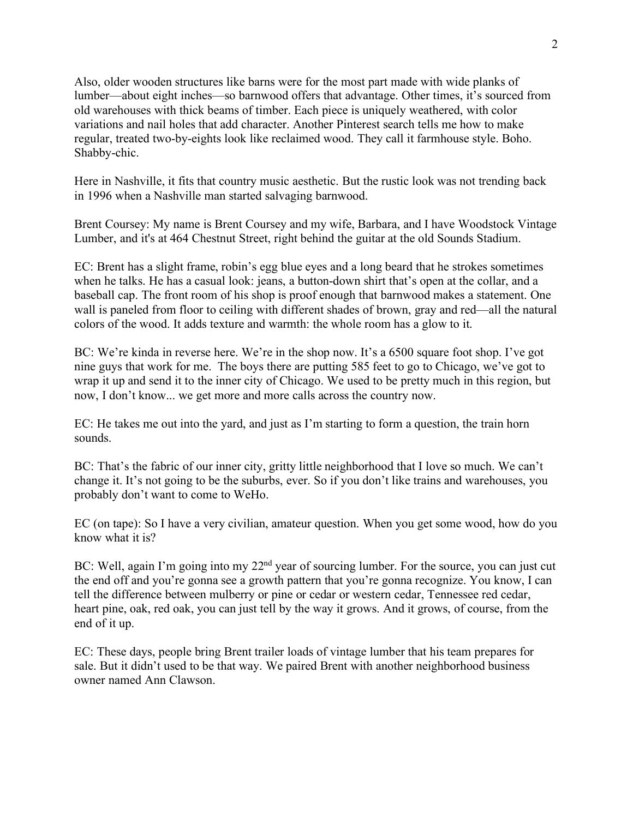Also, older wooden structures like barns were for the most part made with wide planks of lumber––about eight inches––so barnwood offers that advantage. Other times, it's sourced from old warehouses with thick beams of timber. Each piece is uniquely weathered, with color variations and nail holes that add character. Another Pinterest search tells me how to make regular, treated two-by-eights look like reclaimed wood. They call it farmhouse style. Boho. Shabby-chic.

Here in Nashville, it fits that country music aesthetic. But the rustic look was not trending back in 1996 when a Nashville man started salvaging barnwood.

Brent Coursey: My name is Brent Coursey and my wife, Barbara, and I have Woodstock Vintage Lumber, and it's at 464 Chestnut Street, right behind the guitar at the old Sounds Stadium.

EC: Brent has a slight frame, robin's egg blue eyes and a long beard that he strokes sometimes when he talks. He has a casual look: jeans, a button-down shirt that's open at the collar, and a baseball cap. The front room of his shop is proof enough that barnwood makes a statement. One wall is paneled from floor to ceiling with different shades of brown, gray and red—all the natural colors of the wood. It adds texture and warmth: the whole room has a glow to it.

BC: We're kinda in reverse here. We're in the shop now. It's a 6500 square foot shop. I've got nine guys that work for me. The boys there are putting 585 feet to go to Chicago, we've got to wrap it up and send it to the inner city of Chicago. We used to be pretty much in this region, but now, I don't know... we get more and more calls across the country now.

EC: He takes me out into the yard, and just as I'm starting to form a question, the train horn sounds.

BC: That's the fabric of our inner city, gritty little neighborhood that I love so much. We can't change it. It's not going to be the suburbs, ever. So if you don't like trains and warehouses, you probably don't want to come to WeHo.

EC (on tape): So I have a very civilian, amateur question. When you get some wood, how do you know what it is?

BC: Well, again I'm going into my 22<sup>nd</sup> year of sourcing lumber. For the source, you can just cut the end off and you're gonna see a growth pattern that you're gonna recognize. You know, I can tell the difference between mulberry or pine or cedar or western cedar, Tennessee red cedar, heart pine, oak, red oak, you can just tell by the way it grows. And it grows, of course, from the end of it up.

EC: These days, people bring Brent trailer loads of vintage lumber that his team prepares for sale. But it didn't used to be that way. We paired Brent with another neighborhood business owner named Ann Clawson.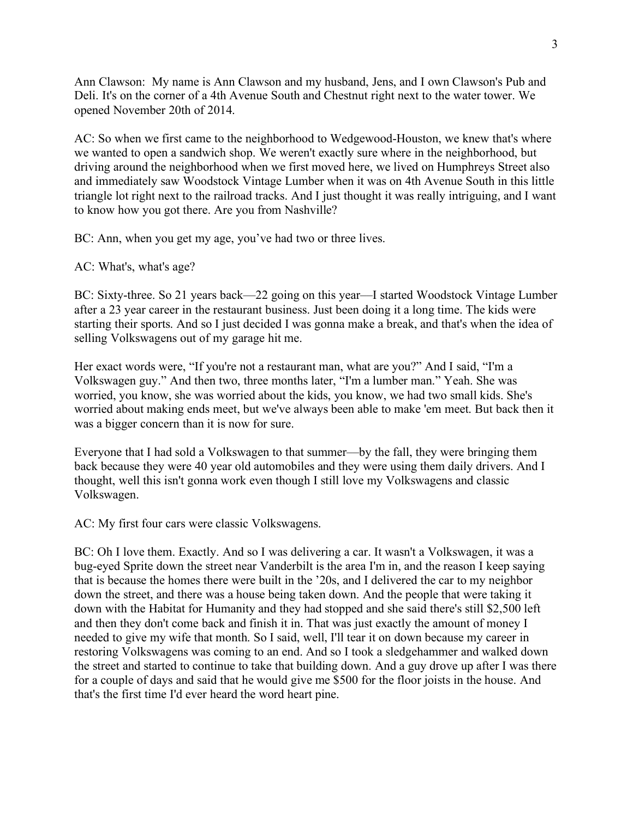Ann Clawson: My name is Ann Clawson and my husband, Jens, and I own Clawson's Pub and Deli. It's on the corner of a 4th Avenue South and Chestnut right next to the water tower. We opened November 20th of 2014.

AC: So when we first came to the neighborhood to Wedgewood-Houston, we knew that's where we wanted to open a sandwich shop. We weren't exactly sure where in the neighborhood, but driving around the neighborhood when we first moved here, we lived on Humphreys Street also and immediately saw Woodstock Vintage Lumber when it was on 4th Avenue South in this little triangle lot right next to the railroad tracks. And I just thought it was really intriguing, and I want to know how you got there. Are you from Nashville?

BC: Ann, when you get my age, you've had two or three lives.

AC: What's, what's age?

BC: Sixty-three. So 21 years back—22 going on this year—I started Woodstock Vintage Lumber after a 23 year career in the restaurant business. Just been doing it a long time. The kids were starting their sports. And so I just decided I was gonna make a break, and that's when the idea of selling Volkswagens out of my garage hit me.

Her exact words were, "If you're not a restaurant man, what are you?" And I said, "I'm a Volkswagen guy." And then two, three months later, "I'm a lumber man." Yeah. She was worried, you know, she was worried about the kids, you know, we had two small kids. She's worried about making ends meet, but we've always been able to make 'em meet. But back then it was a bigger concern than it is now for sure.

Everyone that I had sold a Volkswagen to that summer––by the fall, they were bringing them back because they were 40 year old automobiles and they were using them daily drivers. And I thought, well this isn't gonna work even though I still love my Volkswagens and classic Volkswagen.

AC: My first four cars were classic Volkswagens.

BC: Oh I love them. Exactly. And so I was delivering a car. It wasn't a Volkswagen, it was a bug-eyed Sprite down the street near Vanderbilt is the area I'm in, and the reason I keep saying that is because the homes there were built in the '20s, and I delivered the car to my neighbor down the street, and there was a house being taken down. And the people that were taking it down with the Habitat for Humanity and they had stopped and she said there's still \$2,500 left and then they don't come back and finish it in. That was just exactly the amount of money I needed to give my wife that month. So I said, well, I'll tear it on down because my career in restoring Volkswagens was coming to an end. And so I took a sledgehammer and walked down the street and started to continue to take that building down. And a guy drove up after I was there for a couple of days and said that he would give me \$500 for the floor joists in the house. And that's the first time I'd ever heard the word heart pine.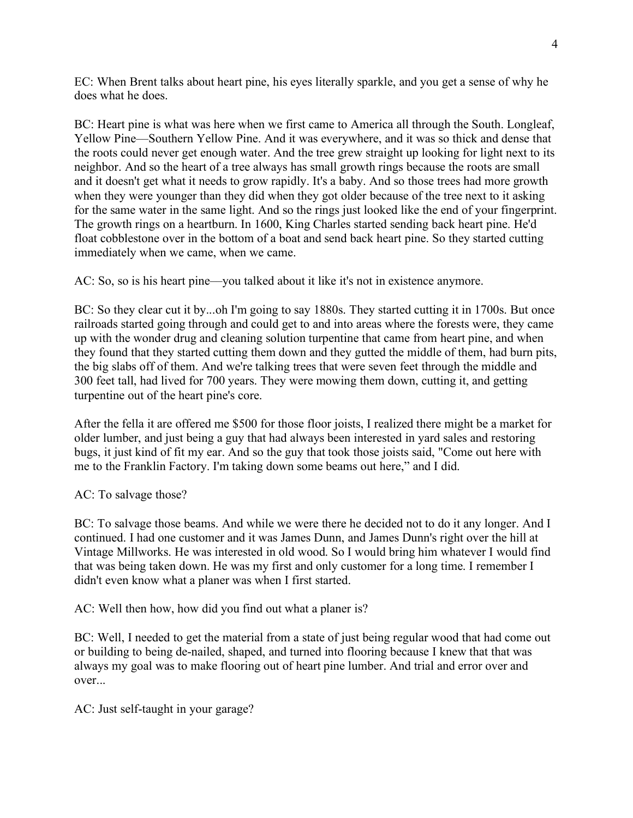EC: When Brent talks about heart pine, his eyes literally sparkle, and you get a sense of why he does what he does.

BC: Heart pine is what was here when we first came to America all through the South. Longleaf, Yellow Pine––Southern Yellow Pine. And it was everywhere, and it was so thick and dense that the roots could never get enough water. And the tree grew straight up looking for light next to its neighbor. And so the heart of a tree always has small growth rings because the roots are small and it doesn't get what it needs to grow rapidly. It's a baby. And so those trees had more growth when they were younger than they did when they got older because of the tree next to it asking for the same water in the same light. And so the rings just looked like the end of your fingerprint. The growth rings on a heartburn. In 1600, King Charles started sending back heart pine. He'd float cobblestone over in the bottom of a boat and send back heart pine. So they started cutting immediately when we came, when we came.

AC: So, so is his heart pine––you talked about it like it's not in existence anymore.

BC: So they clear cut it by...oh I'm going to say 1880s. They started cutting it in 1700s. But once railroads started going through and could get to and into areas where the forests were, they came up with the wonder drug and cleaning solution turpentine that came from heart pine, and when they found that they started cutting them down and they gutted the middle of them, had burn pits, the big slabs off of them. And we're talking trees that were seven feet through the middle and 300 feet tall, had lived for 700 years. They were mowing them down, cutting it, and getting turpentine out of the heart pine's core.

After the fella it are offered me \$500 for those floor joists, I realized there might be a market for older lumber, and just being a guy that had always been interested in yard sales and restoring bugs, it just kind of fit my ear. And so the guy that took those joists said, "Come out here with me to the Franklin Factory. I'm taking down some beams out here," and I did.

## AC: To salvage those?

BC: To salvage those beams. And while we were there he decided not to do it any longer. And I continued. I had one customer and it was James Dunn, and James Dunn's right over the hill at Vintage Millworks. He was interested in old wood. So I would bring him whatever I would find that was being taken down. He was my first and only customer for a long time. I remember I didn't even know what a planer was when I first started.

AC: Well then how, how did you find out what a planer is?

BC: Well, I needed to get the material from a state of just being regular wood that had come out or building to being de-nailed, shaped, and turned into flooring because I knew that that was always my goal was to make flooring out of heart pine lumber. And trial and error over and over...

AC: Just self-taught in your garage?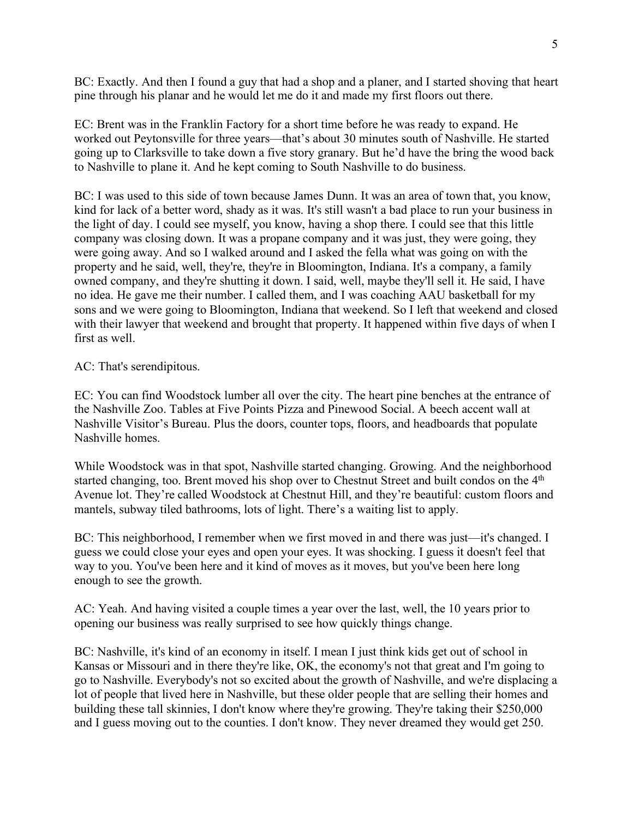BC: Exactly. And then I found a guy that had a shop and a planer, and I started shoving that heart pine through his planar and he would let me do it and made my first floors out there.

EC: Brent was in the Franklin Factory for a short time before he was ready to expand. He worked out Peytonsville for three years––that's about 30 minutes south of Nashville. He started going up to Clarksville to take down a five story granary. But he'd have the bring the wood back to Nashville to plane it. And he kept coming to South Nashville to do business.

BC: I was used to this side of town because James Dunn. It was an area of town that, you know, kind for lack of a better word, shady as it was. It's still wasn't a bad place to run your business in the light of day. I could see myself, you know, having a shop there. I could see that this little company was closing down. It was a propane company and it was just, they were going, they were going away. And so I walked around and I asked the fella what was going on with the property and he said, well, they're, they're in Bloomington, Indiana. It's a company, a family owned company, and they're shutting it down. I said, well, maybe they'll sell it. He said, I have no idea. He gave me their number. I called them, and I was coaching AAU basketball for my sons and we were going to Bloomington, Indiana that weekend. So I left that weekend and closed with their lawyer that weekend and brought that property. It happened within five days of when I first as well.

## AC: That's serendipitous.

EC: You can find Woodstock lumber all over the city. The heart pine benches at the entrance of the Nashville Zoo. Tables at Five Points Pizza and Pinewood Social. A beech accent wall at Nashville Visitor's Bureau. Plus the doors, counter tops, floors, and headboards that populate Nashville homes.

While Woodstock was in that spot, Nashville started changing. Growing. And the neighborhood started changing, too. Brent moved his shop over to Chestnut Street and built condos on the 4<sup>th</sup> Avenue lot. They're called Woodstock at Chestnut Hill, and they're beautiful: custom floors and mantels, subway tiled bathrooms, lots of light. There's a waiting list to apply.

BC: This neighborhood, I remember when we first moved in and there was just—it's changed. I guess we could close your eyes and open your eyes. It was shocking. I guess it doesn't feel that way to you. You've been here and it kind of moves as it moves, but you've been here long enough to see the growth.

AC: Yeah. And having visited a couple times a year over the last, well, the 10 years prior to opening our business was really surprised to see how quickly things change.

BC: Nashville, it's kind of an economy in itself. I mean I just think kids get out of school in Kansas or Missouri and in there they're like, OK, the economy's not that great and I'm going to go to Nashville. Everybody's not so excited about the growth of Nashville, and we're displacing a lot of people that lived here in Nashville, but these older people that are selling their homes and building these tall skinnies, I don't know where they're growing. They're taking their \$250,000 and I guess moving out to the counties. I don't know. They never dreamed they would get 250.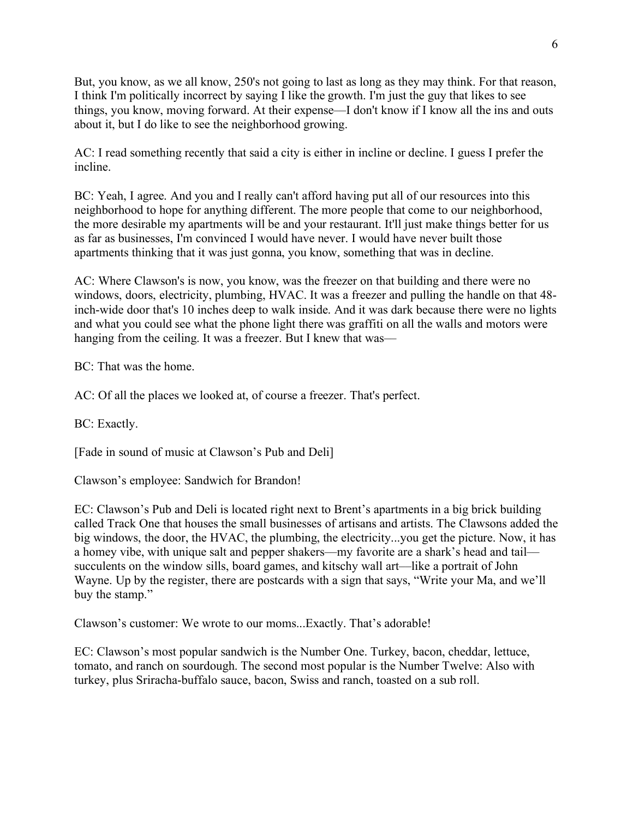But, you know, as we all know, 250's not going to last as long as they may think. For that reason, I think I'm politically incorrect by saying I like the growth. I'm just the guy that likes to see things, you know, moving forward. At their expense––I don't know if I know all the ins and outs about it, but I do like to see the neighborhood growing.

AC: I read something recently that said a city is either in incline or decline. I guess I prefer the incline.

BC: Yeah, I agree. And you and I really can't afford having put all of our resources into this neighborhood to hope for anything different. The more people that come to our neighborhood, the more desirable my apartments will be and your restaurant. It'll just make things better for us as far as businesses, I'm convinced I would have never. I would have never built those apartments thinking that it was just gonna, you know, something that was in decline.

AC: Where Clawson's is now, you know, was the freezer on that building and there were no windows, doors, electricity, plumbing, HVAC. It was a freezer and pulling the handle on that 48 inch-wide door that's 10 inches deep to walk inside. And it was dark because there were no lights and what you could see what the phone light there was graffiti on all the walls and motors were hanging from the ceiling. It was a freezer. But I knew that was—

BC: That was the home.

AC: Of all the places we looked at, of course a freezer. That's perfect.

BC: Exactly.

[Fade in sound of music at Clawson's Pub and Deli]

Clawson's employee: Sandwich for Brandon!

EC: Clawson's Pub and Deli is located right next to Brent's apartments in a big brick building called Track One that houses the small businesses of artisans and artists. The Clawsons added the big windows, the door, the HVAC, the plumbing, the electricity...you get the picture. Now, it has a homey vibe, with unique salt and pepper shakers––my favorite are a shark's head and tail–– succulents on the window sills, board games, and kitschy wall art—like a portrait of John Wayne. Up by the register, there are postcards with a sign that says, "Write your Ma, and we'll buy the stamp."

Clawson's customer: We wrote to our moms...Exactly. That's adorable!

EC: Clawson's most popular sandwich is the Number One. Turkey, bacon, cheddar, lettuce, tomato, and ranch on sourdough. The second most popular is the Number Twelve: Also with turkey, plus Sriracha-buffalo sauce, bacon, Swiss and ranch, toasted on a sub roll.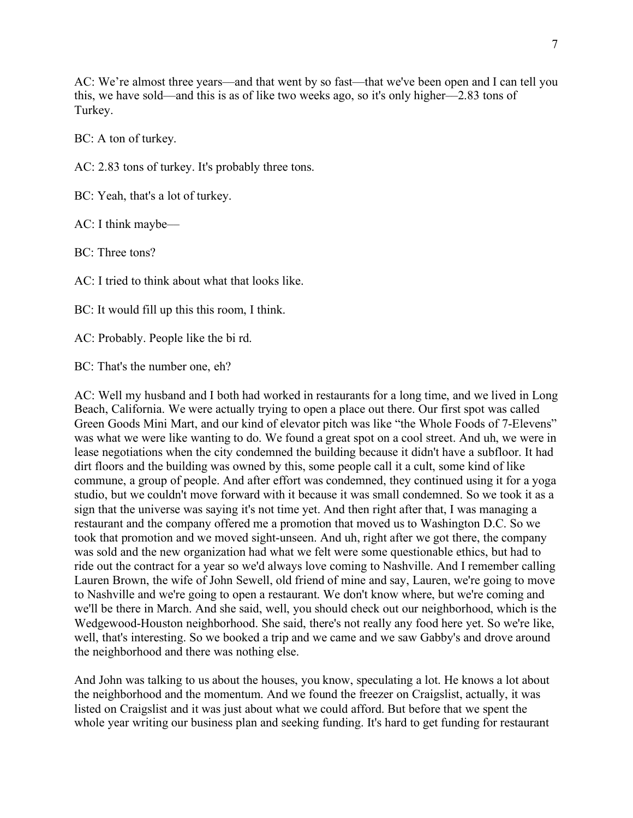AC: We're almost three years––and that went by so fast––that we've been open and I can tell you this, we have sold––and this is as of like two weeks ago, so it's only higher––2.83 tons of Turkey.

BC: A ton of turkey.

AC: 2.83 tons of turkey. It's probably three tons.

BC: Yeah, that's a lot of turkey.

AC: I think maybe––

BC: Three tons?

AC: I tried to think about what that looks like.

BC: It would fill up this this room, I think.

AC: Probably. People like the bi rd.

BC: That's the number one, eh?

AC: Well my husband and I both had worked in restaurants for a long time, and we lived in Long Beach, California. We were actually trying to open a place out there. Our first spot was called Green Goods Mini Mart, and our kind of elevator pitch was like "the Whole Foods of 7-Elevens" was what we were like wanting to do. We found a great spot on a cool street. And uh, we were in lease negotiations when the city condemned the building because it didn't have a subfloor. It had dirt floors and the building was owned by this, some people call it a cult, some kind of like commune, a group of people. And after effort was condemned, they continued using it for a yoga studio, but we couldn't move forward with it because it was small condemned. So we took it as a sign that the universe was saying it's not time yet. And then right after that, I was managing a restaurant and the company offered me a promotion that moved us to Washington D.C. So we took that promotion and we moved sight-unseen. And uh, right after we got there, the company was sold and the new organization had what we felt were some questionable ethics, but had to ride out the contract for a year so we'd always love coming to Nashville. And I remember calling Lauren Brown, the wife of John Sewell, old friend of mine and say, Lauren, we're going to move to Nashville and we're going to open a restaurant. We don't know where, but we're coming and we'll be there in March. And she said, well, you should check out our neighborhood, which is the Wedgewood-Houston neighborhood. She said, there's not really any food here yet. So we're like, well, that's interesting. So we booked a trip and we came and we saw Gabby's and drove around the neighborhood and there was nothing else.

And John was talking to us about the houses, you know, speculating a lot. He knows a lot about the neighborhood and the momentum. And we found the freezer on Craigslist, actually, it was listed on Craigslist and it was just about what we could afford. But before that we spent the whole year writing our business plan and seeking funding. It's hard to get funding for restaurant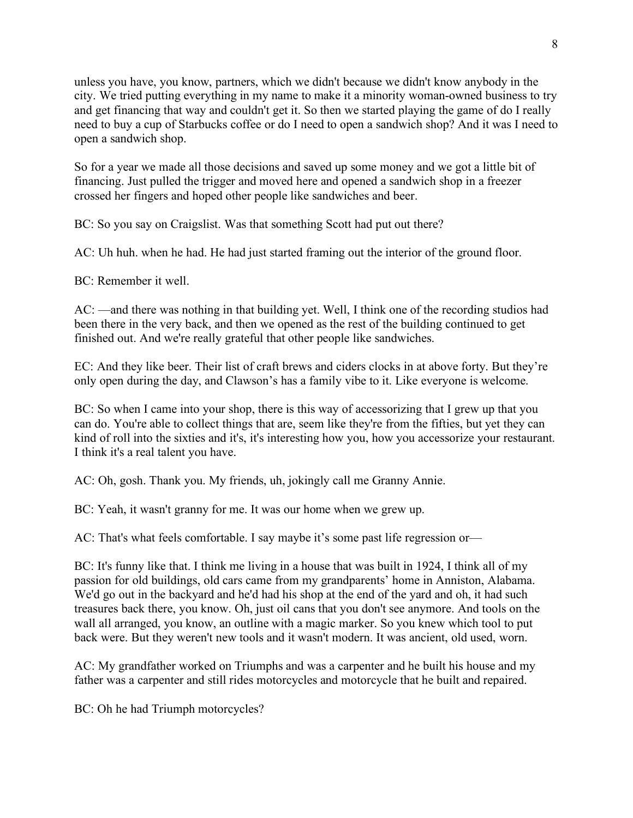unless you have, you know, partners, which we didn't because we didn't know anybody in the city. We tried putting everything in my name to make it a minority woman-owned business to try and get financing that way and couldn't get it. So then we started playing the game of do I really need to buy a cup of Starbucks coffee or do I need to open a sandwich shop? And it was I need to open a sandwich shop.

So for a year we made all those decisions and saved up some money and we got a little bit of financing. Just pulled the trigger and moved here and opened a sandwich shop in a freezer crossed her fingers and hoped other people like sandwiches and beer.

BC: So you say on Craigslist. Was that something Scott had put out there?

AC: Uh huh. when he had. He had just started framing out the interior of the ground floor.

BC: Remember it well.

AC: ––and there was nothing in that building yet. Well, I think one of the recording studios had been there in the very back, and then we opened as the rest of the building continued to get finished out. And we're really grateful that other people like sandwiches.

EC: And they like beer. Their list of craft brews and ciders clocks in at above forty. But they're only open during the day, and Clawson's has a family vibe to it. Like everyone is welcome.

BC: So when I came into your shop, there is this way of accessorizing that I grew up that you can do. You're able to collect things that are, seem like they're from the fifties, but yet they can kind of roll into the sixties and it's, it's interesting how you, how you accessorize your restaurant. I think it's a real talent you have.

AC: Oh, gosh. Thank you. My friends, uh, jokingly call me Granny Annie.

BC: Yeah, it wasn't granny for me. It was our home when we grew up.

AC: That's what feels comfortable. I say maybe it's some past life regression or—

BC: It's funny like that. I think me living in a house that was built in 1924, I think all of my passion for old buildings, old cars came from my grandparents' home in Anniston, Alabama. We'd go out in the backyard and he'd had his shop at the end of the yard and oh, it had such treasures back there, you know. Oh, just oil cans that you don't see anymore. And tools on the wall all arranged, you know, an outline with a magic marker. So you knew which tool to put back were. But they weren't new tools and it wasn't modern. It was ancient, old used, worn.

AC: My grandfather worked on Triumphs and was a carpenter and he built his house and my father was a carpenter and still rides motorcycles and motorcycle that he built and repaired.

BC: Oh he had Triumph motorcycles?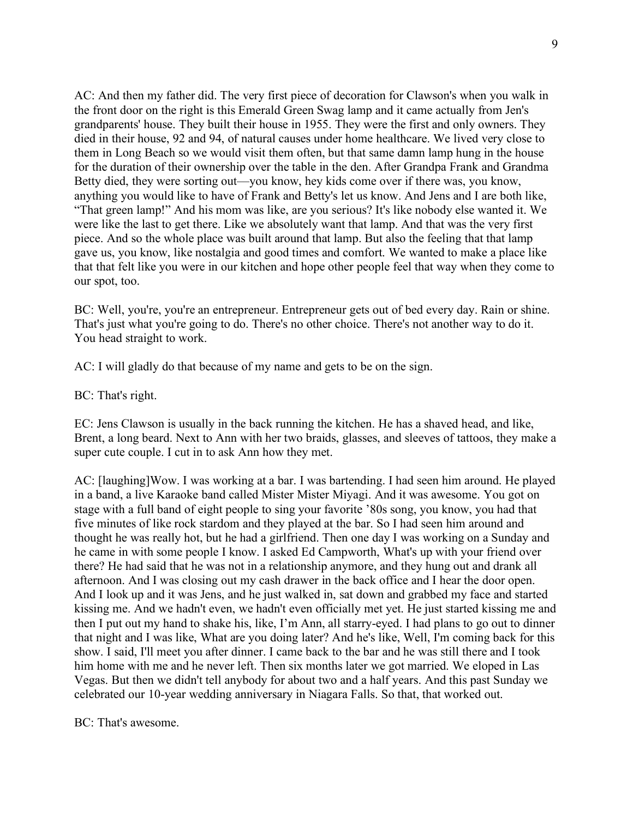AC: And then my father did. The very first piece of decoration for Clawson's when you walk in the front door on the right is this Emerald Green Swag lamp and it came actually from Jen's grandparents' house. They built their house in 1955. They were the first and only owners. They died in their house, 92 and 94, of natural causes under home healthcare. We lived very close to them in Long Beach so we would visit them often, but that same damn lamp hung in the house for the duration of their ownership over the table in the den. After Grandpa Frank and Grandma Betty died, they were sorting out—you know, hey kids come over if there was, you know, anything you would like to have of Frank and Betty's let us know. And Jens and I are both like, "That green lamp!" And his mom was like, are you serious? It's like nobody else wanted it. We were like the last to get there. Like we absolutely want that lamp. And that was the very first piece. And so the whole place was built around that lamp. But also the feeling that that lamp gave us, you know, like nostalgia and good times and comfort. We wanted to make a place like that that felt like you were in our kitchen and hope other people feel that way when they come to our spot, too.

BC: Well, you're, you're an entrepreneur. Entrepreneur gets out of bed every day. Rain or shine. That's just what you're going to do. There's no other choice. There's not another way to do it. You head straight to work.

AC: I will gladly do that because of my name and gets to be on the sign.

BC: That's right.

EC: Jens Clawson is usually in the back running the kitchen. He has a shaved head, and like, Brent, a long beard. Next to Ann with her two braids, glasses, and sleeves of tattoos, they make a super cute couple. I cut in to ask Ann how they met.

AC: [laughing]Wow. I was working at a bar. I was bartending. I had seen him around. He played in a band, a live Karaoke band called Mister Mister Miyagi. And it was awesome. You got on stage with a full band of eight people to sing your favorite '80s song, you know, you had that five minutes of like rock stardom and they played at the bar. So I had seen him around and thought he was really hot, but he had a girlfriend. Then one day I was working on a Sunday and he came in with some people I know. I asked Ed Campworth, What's up with your friend over there? He had said that he was not in a relationship anymore, and they hung out and drank all afternoon. And I was closing out my cash drawer in the back office and I hear the door open. And I look up and it was Jens, and he just walked in, sat down and grabbed my face and started kissing me. And we hadn't even, we hadn't even officially met yet. He just started kissing me and then I put out my hand to shake his, like, I'm Ann, all starry-eyed. I had plans to go out to dinner that night and I was like, What are you doing later? And he's like, Well, I'm coming back for this show. I said, I'll meet you after dinner. I came back to the bar and he was still there and I took him home with me and he never left. Then six months later we got married. We eloped in Las Vegas. But then we didn't tell anybody for about two and a half years. And this past Sunday we celebrated our 10-year wedding anniversary in Niagara Falls. So that, that worked out.

BC: That's awesome.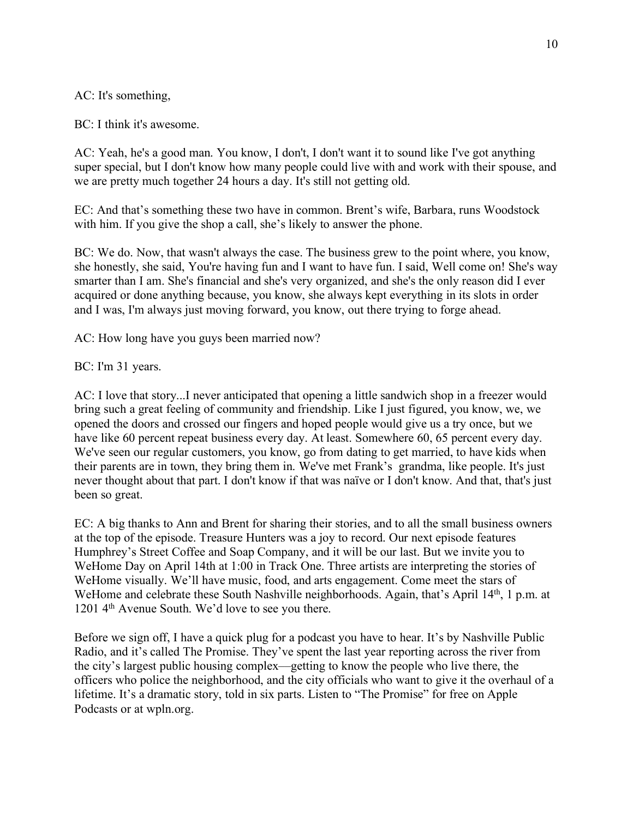AC: It's something,

BC: I think it's awesome.

AC: Yeah, he's a good man. You know, I don't, I don't want it to sound like I've got anything super special, but I don't know how many people could live with and work with their spouse, and we are pretty much together 24 hours a day. It's still not getting old.

EC: And that's something these two have in common. Brent's wife, Barbara, runs Woodstock with him. If you give the shop a call, she's likely to answer the phone.

BC: We do. Now, that wasn't always the case. The business grew to the point where, you know, she honestly, she said, You're having fun and I want to have fun. I said, Well come on! She's way smarter than I am. She's financial and she's very organized, and she's the only reason did I ever acquired or done anything because, you know, she always kept everything in its slots in order and I was, I'm always just moving forward, you know, out there trying to forge ahead.

AC: How long have you guys been married now?

BC: I'm 31 years.

AC: I love that story...I never anticipated that opening a little sandwich shop in a freezer would bring such a great feeling of community and friendship. Like I just figured, you know, we, we opened the doors and crossed our fingers and hoped people would give us a try once, but we have like 60 percent repeat business every day. At least. Somewhere 60, 65 percent every day. We've seen our regular customers, you know, go from dating to get married, to have kids when their parents are in town, they bring them in. We've met Frank's grandma, like people. It's just never thought about that part. I don't know if that was naïve or I don't know. And that, that's just been so great.

EC: A big thanks to Ann and Brent for sharing their stories, and to all the small business owners at the top of the episode. Treasure Hunters was a joy to record. Our next episode features Humphrey's Street Coffee and Soap Company, and it will be our last. But we invite you to WeHome Day on April 14th at 1:00 in Track One. Three artists are interpreting the stories of WeHome visually. We'll have music, food, and arts engagement. Come meet the stars of WeHome and celebrate these South Nashville neighborhoods. Again, that's April 14<sup>th</sup>, 1 p.m. at 1201 4th Avenue South. We'd love to see you there.

Before we sign off, I have a quick plug for a podcast you have to hear. It's by Nashville Public Radio, and it's called The Promise. They've spent the last year reporting across the river from the city's largest public housing complex––getting to know the people who live there, the officers who police the neighborhood, and the city officials who want to give it the overhaul of a lifetime. It's a dramatic story, told in six parts. Listen to "The Promise" for free on Apple Podcasts or at wpln.org.